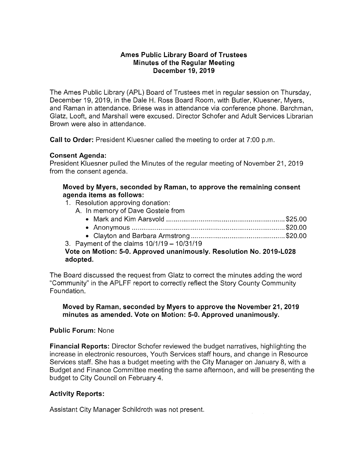### **Ames Public Library Board of Trustees Minutes of the Regular Meeting December 19, 2019**

The Ames Public Library (APL) Board of Trustees met in regular session on Thursday, December 19, 2019, in the Dale H. Ross Board Room, with Butler, Kluesner, Myers, and Raman in attendance. Briese was in attendance via conference phone. Barchman, Glatz, Looft, and Marshall were excused. Director Schofer and Adult Services Librarian Brown were also in attendance.

**Call to Order:** President Kluesner called the meeting to order at 7:00 p.m.

# **Consent Agenda:**

President Kluesner pulled the Minutes of the regular meeting of November 21, 2019 from the consent agenda.

### **Moved by Myers, seconded by Raman, to approve the remaining consent agenda items as follows:**

- 1. Resolution approving donation:
	- A. In memory of Dave Gostele from

| Clouton and Parhara Armatrona | <b>COO OO</b> |
|-------------------------------|---------------|

• Clayton and Barbara Armstrong ................................................. \$20.00

3. Payment of the claims  $10/1/19 - 10/31/19$ 

# **Vote on Motion: 5-0. Approved unanimously. Resolution No. 2019-L028 adopted.**

The Board discussed the request from Glatz to correct the minutes adding the word "Community" in the APLFF report to correctly reflect the Story County Community Foundation.

### **Moved by Raman, seconded by Myers to approve the November 21, 2019 minutes as amended. Vote on Motion: 5-0. Approved unanimously.**

# **Public Forum:** None

**Financial Reports:** Director Schofer reviewed the budget narratives, highlighting the increase in electronic resources, Youth Services staff hours, and change in Resource Services staff. She has a budget meeting with the City Manager on January 8, with a Budget and Finance Committee meeting the same afternoon, and will be presenting the budget to City Council on February 4.

# **Activity Reports:**

Assistant City Manager Schildroth was not present.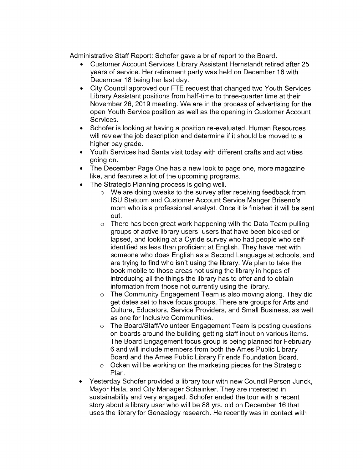Administrative Staff Report: Schofer gave a brief report to the Board.

- Customer Account Services Library Assistant Hernstandt retired after 25 years of service. Her retirement party was held on December 16 with December 18 being her last day.
- City Council approved our FTE request that changed two Youth Services Library Assistant positions from half-time to three-quarter time at their November 26, 2019 meeting. We are in the process of advertising for the open Youth Service position as well as the opening in Customer Account Services.
- Schofer is looking at having a position re-evaluated. Human Resources will review the job description and determine if it should be moved to a higher pay grade.
- Youth Services had Santa visit today with different crafts and activities going on.
- The December Page One has a new look to page one, more magazine like, and features a lot of the upcoming programs.
- The Strategic Planning process is going well.
	- o We are doing tweaks to the survey after receiving feedback from ISU Statcom and Customer Account Service Manger Briseno's mom who is a professional analyst. Once it is finished it will be sent out.
	- o There has been great work happening with the Data Team pulling groups of active library users, users that have been blocked or lapsed, and looking at a Cyride survey who had people who selfidentified as less than proficient at English. They have met with someone who does English as a Second Language at schools, and are trying to find who isn't using the library. We plan to take the book mobile to those areas not using the library in hopes of introducing all the things the library has to offer and to obtain information from those not currently using the library.
	- o The Community Engagement Team is also moving along. They did get dates set to have focus groups. There are groups for Arts and Culture, Educators, Service Providers, and Small Business, as well as one for Inclusive Communities.
	- o The Board/StaffNolunteer Engagement Team is posting questions on boards around the building getting staff input on various items. The Board Engagement focus group is being planned for February 6 and will include members from both the Ames Public Library Board and the Ames Public Library Friends Foundation Board.
	- o Ocken will be working on the marketing pieces for the Strategic Plan.
- Yesterday Schofer provided a library tour with new Council Person Junck, Mayor Haila, and City Manager Schainker. They are interested in sustainability and very engaged. Schofer ended the tour with a recent story about a library user who will be 88 yrs. old on December 16 that uses the library for Genealogy research. He recently was in contact with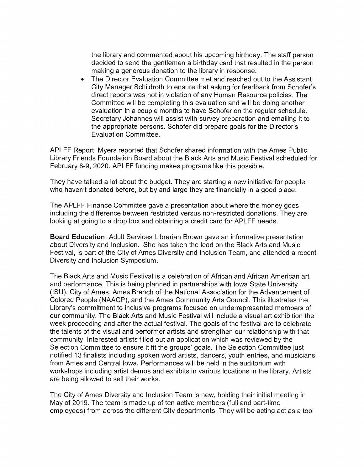the library and commented about his upcoming birthday. The staff person decided to send the gentlemen a birthday card that resulted in the person making a generous donation to the library in response.

• The Director Evaluation Committee met and reached out to the Assistant City Manager Schildroth to ensure that asking for feedback from Schafer's direct reports was not in violation of any Human Resource policies. The Committee will be completing this evaluation and will be doing another evaluation in a couple months to have Schafer on the regular schedule. Secretary Johannes will assist with survey preparation and emailing it to the appropriate persons. Schafer did prepare goals for the Director's Evaluation Committee.

APLFF Report: Myers reported that Schafer shared information with the Ames Public Library Friends Foundation Board about the Black Arts and Music Festival scheduled for February 8-9, 2020. APLFF funding makes programs like this possible.

They have talked a lot about the budget. They are starting a new initiative for people who haven't donated before, but by and large they are financially in a good place.

The APLFF Finance Committee gave a presentation about where the money goes including the difference between restricted versus non-restricted donations. They are looking at going to a drop box and obtaining a credit card for APLFF needs.

**Board Education:** Adult Services Librarian Brown gave an informative presentation about Diversity and Inclusion. She has taken the lead on the Black Arts and Music Festival, is part of the City of Ames Diversity and Inclusion Team, and attended a recent Diversity and Inclusion Symposium.

The Black Arts and Music Festival is a celebration of African and African American art and performance. This is being planned in partnerships with Iowa State University (ISU), City of Ames, Ames Branch of the National Association for the Advancement of Colored People (NAACP), and the Ames Community Arts Council. This illustrates the Library's commitment to inclusive programs focused on underrepresented members of our community. The Black Arts and Music Festival will include a visual art exhibition the week proceeding and after the actual festival. The goals of the festival are to celebrate the talents of the visual and performer artists and strengthen our relationship with that community. Interested artists filled out an application which was reviewed by the Selection Committee to ensure it fit the groups' goals. The Selection Committee just notified 13 finalists including spoken word artists, dancers, youth entries, and musicians from Ames and Central Iowa. Performances will be held in the auditorium with workshops including artist demos and exhibits in various locations in the library. Artists are being allowed to sell their works.

The City of Ames Diversity and Inclusion Team is new, holding their initial meeting in May of 2019. The team is made up of ten active members (full and part-time employees) from across the different City departments. They will be acting act as a tool